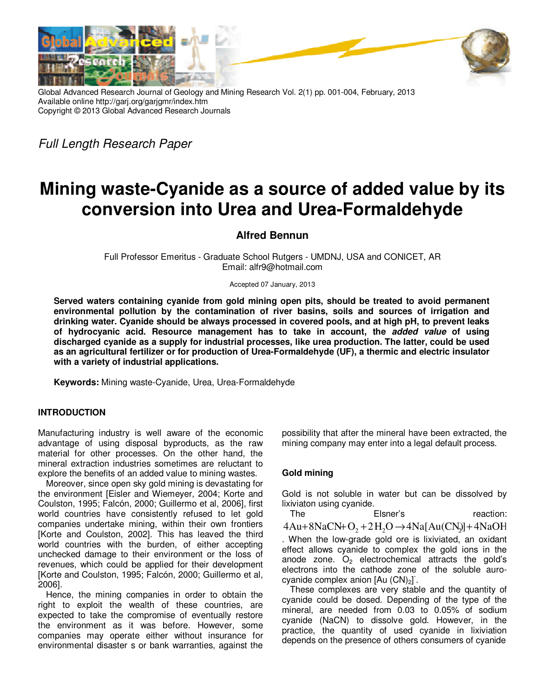

Global Advanced Research Journal of Geology and Mining Research Vol. 2(1) pp. 001-004, February, 2013 Available online http://garj.org/garjgmr/index.htm Copyright © 2013 Global Advanced Research Journals

Full Length Research Paper

# **Mining waste-Cyanide as a source of added value by its conversion into Urea and Urea-Formaldehyde**

# **Alfred Bennun**

Full Professor Emeritus - Graduate School Rutgers - UMDNJ, USA and CONICET, AR Email: alfr9@hotmail.com

Accepted 07 January, 2013

**Served waters containing cyanide from gold mining open pits, should be treated to avoid permanent environmental pollution by the contamination of river basins, soils and sources of irrigation and drinking water. Cyanide should be always processed in covered pools, and at high pH, to prevent leaks of hydrocyanic acid. Resource management has to take in account, the added value of using discharged cyanide as a supply for industrial processes, like urea production. The latter, could be used as an agricultural fertilizer or for production of Urea-Formaldehyde (UF), a thermic and electric insulator with a variety of industrial applications.** 

**Keywords:** Mining waste-Cyanide, Urea, Urea-Formaldehyde

## **INTRODUCTION**

Manufacturing industry is well aware of the economic advantage of using disposal byproducts, as the raw material for other processes. On the other hand, the mineral extraction industries sometimes are reluctant to explore the benefits of an added value to mining wastes.

Moreover, since open sky gold mining is devastating for the environment [Eisler and Wiemeyer, 2004; Korte and Coulston, 1995; Falcón, 2000; Guillermo et al, 2006], first world countries have consistently refused to let gold companies undertake mining, within their own frontiers [Korte and Coulston, 2002]. This has leaved the third world countries with the burden, of either accepting unchecked damage to their environment or the loss of revenues, which could be applied for their development [Korte and Coulston, 1995; Falcón, 2000; Guillermo et al, 2006].

Hence, the mining companies in order to obtain the right to exploit the wealth of these countries, are expected to take the compromise of eventually restore the environment as it was before. However, some companies may operate either without insurance for environmental disaster s or bank warranties, against the possibility that after the mineral have been extracted, the mining company may enter into a legal default process.

## **Gold mining**

Gold is not soluble in water but can be dissolved by lixiviaton using cyanide.

The Elsner's reaction:  $4Au+8NaCN+O_2+2H_2O \rightarrow 4Na[Au(CN_2)]+4NaOH$ . When the low-grade gold ore is lixiviated, an oxidant effect allows cyanide to complex the gold ions in the anode zone.  $O<sub>2</sub>$  electrochemical attracts the gold's electrons into the cathode zone of the soluble aurocyanide complex anion  $[Au (CN)<sub>2</sub>]$ .

These complexes are very stable and the quantity of cyanide could be dosed. Depending of the type of the mineral, are needed from 0.03 to 0.05% of sodium cyanide (NaCN) to dissolve gold. However, in the practice, the quantity of used cyanide in lixiviation depends on the presence of others consumers of cyanide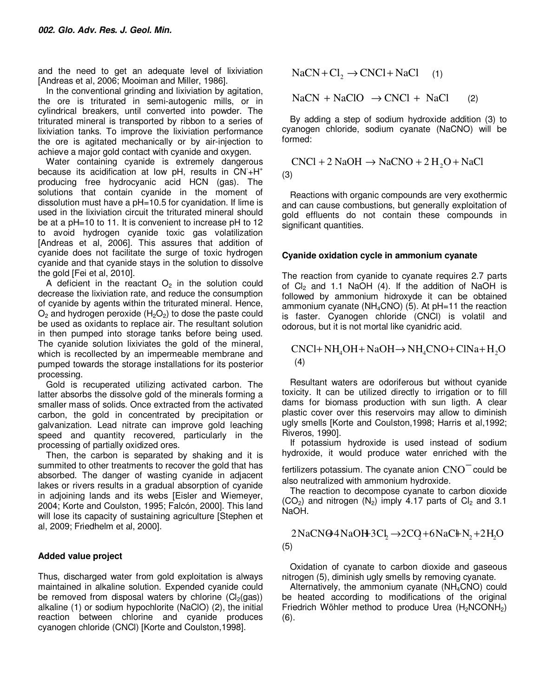and the need to get an adequate level of lixiviation [Andreas et al, 2006; Mooiman and Miller, 1986].

In the conventional grinding and lixiviation by agitation, the ore is triturated in semi-autogenic mills, or in cylindrical breakers, until converted into powder. The triturated mineral is transported by ribbon to a series of lixiviation tanks. To improve the lixiviation performance the ore is agitated mechanically or by air-injection to achieve a major gold contact with cyanide and oxygen.

Water containing cyanide is extremely dangerous because its acidification at low pH, results in  $\text{CN} + \text{H}^+$ producing free hydrocyanic acid HCN (gas). The solutions that contain cyanide in the moment of dissolution must have a pH=10.5 for cyanidation. If lime is used in the lixiviation circuit the triturated mineral should be at a pH=10 to 11. It is convenient to increase pH to 12 to avoid hydrogen cyanide toxic gas volatilization [Andreas et al, 2006]. This assures that addition of cyanide does not facilitate the surge of toxic hydrogen cyanide and that cyanide stays in the solution to dissolve the gold [Fei et al, 2010].

A deficient in the reactant  $O<sub>2</sub>$  in the solution could decrease the lixiviation rate, and reduce the consumption of cyanide by agents within the triturated mineral. Hence,  $O_2$  and hydrogen peroxide ( $H_2O_2$ ) to dose the paste could be used as oxidants to replace air. The resultant solution in then pumped into storage tanks before being used. The cyanide solution lixiviates the gold of the mineral, which is recollected by an impermeable membrane and pumped towards the storage installations for its posterior processing.

Gold is recuperated utilizing activated carbon. The latter absorbs the dissolve gold of the minerals forming a smaller mass of solids. Once extracted from the activated carbon, the gold in concentrated by precipitation or galvanization. Lead nitrate can improve gold leaching speed and quantity recovered, particularly in the processing of partially oxidized ores.

Then, the carbon is separated by shaking and it is summited to other treatments to recover the gold that has absorbed. The danger of wasting cyanide in adjacent lakes or rivers results in a gradual absorption of cyanide in adjoining lands and its webs [Eisler and Wiemeyer, 2004; Korte and Coulston, 1995; Falcón, 2000]. This land will lose its capacity of sustaining agriculture [Stephen et al, 2009; Friedhelm et al, 2000].

# **Added value project**

Thus, discharged water from gold exploitation is always maintained in alkaline solution. Expended cyanide could be removed from disposal waters by chlorine  $(C_2(aas))$ alkaline (1) or sodium hypochlorite (NaClO) (2), the initial reaction between chlorine and cyanide produces cyanogen chloride (CNCl) [Korte and Coulston,1998].

 $NaCN + Cl<sub>2</sub> \rightarrow CNCl + NaCl$  (1)

 $NaCN + NaClO \rightarrow CNCl + NaCl$  (2)

By adding a step of sodium hydroxide addition (3) to cyanogen chloride, sodium cyanate (NaCNO) will be formed:

$$
CNC1 + 2 NaOH \rightarrow NaCNO + 2 H2O + NaCl
$$
  
(3)

Reactions with organic compounds are very exothermic and can cause combustions, but generally exploitation of gold effluents do not contain these compounds in significant quantities.

# **Cyanide oxidation cycle in ammonium cyanate**

The reaction from cyanide to cyanate requires 2.7 parts of  $Cl<sub>2</sub>$  and 1.1 NaOH (4). If the addition of NaOH is followed by ammonium hidroxyde it can be obtained ammonium cyanate ( $NH_4CNO$ ) (5). At  $pH=11$  the reaction is faster. Cyanogen chloride (CNCl) is volatil and odorous, but it is not mortal like cyanidric acid.

 $CNCl + NH<sub>4</sub>OH + NaOH \rightarrow NH<sub>4</sub>CNO + ClNa + H<sub>2</sub>O$ (4)

Resultant waters are odoriferous but without cyanide toxicity. It can be utilized directly to irrigation or to fill dams for biomass production with sun ligth. A clear plastic cover over this reservoirs may allow to diminish ugly smells [Korte and Coulston,1998; Harris et al,1992; Riveros, 1990].

If potassium hydroxide is used instead of sodium hydroxide, it would produce water enriched with the

fertilizers potassium. The cyanate anion  $CNO<sup>-</sup>$  could be also neutralized with ammonium hydroxide.

The reaction to decompose cyanate to carbon dioxide  $(CO<sub>2</sub>)$  and nitrogen  $(N<sub>2</sub>)$  imply 4.17 parts of  $Cl<sub>2</sub>$  and 3.1 NaOH.

 $2NaCN $\Theta$ 4NaOH<sup>3</sup>Cl,  $\rightarrow$ 2CQ+6NaCH<sub>N</sub>+2H<sub>2</sub>O$ (5)

Oxidation of cyanate to carbon dioxide and gaseous nitrogen (5), diminish ugly smells by removing cyanate.

Alternatively, the ammonium cyanate (NH4CNO) could be heated according to modifications of the original Friedrich Wöhler method to produce Urea  $(H_2NCONH_2)$ (6).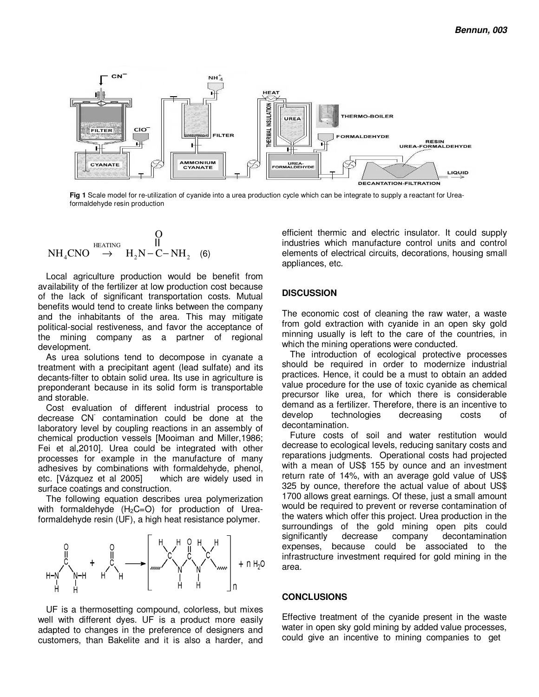

**Fig 1** Scale model for re-utilization of cyanide into a urea production cycle which can be integrate to supply a reactant for Ureaformaldehyde resin production

$$
\begin{array}{ccc}\n& & O \\
\longrightarrow & H_2N-C-NH_2 & (6) \\
\end{array}
$$

Local agriculture production would be benefit from availability of the fertilizer at low production cost because of the lack of significant transportation costs. Mutual benefits would tend to create links between the company and the inhabitants of the area. This may mitigate political-social restiveness, and favor the acceptance of the mining company as a partner of regional development.

As urea solutions tend to decompose in cyanate a treatment with a precipitant agent (lead sulfate) and its decants-filter to obtain solid urea. Its use in agriculture is preponderant because in its solid form is transportable and storable.

Cost evaluation of different industrial process to decrease CN- contamination could be done at the laboratory level by coupling reactions in an assembly of chemical production vessels [Mooiman and Miller,1986; Fei et al,2010]. Urea could be integrated with other processes for example in the manufacture of many adhesives by combinations with formaldehyde, phenol, etc. [Vázquez et al 2005] which are widely used in surface coatings and construction.

The following equation describes urea polymerization with formaldehyde  $(H_2C=O)$  for production of Ureaformaldehyde resin (UF), a high heat resistance polymer.



UF is a thermosetting compound, colorless, but mixes well with different dyes. UF is a product more easily adapted to changes in the preference of designers and customers, than Bakelite and it is also a harder, and efficient thermic and electric insulator. It could supply industries which manufacture control units and control elements of electrical circuits, decorations, housing small appliances, etc.

## **DISCUSSION**

The economic cost of cleaning the raw water, a waste from gold extraction with cyanide in an open sky gold minning usually is left to the care of the countries, in which the mining operations were conducted.

The introduction of ecological protective processes should be required in order to modernize industrial practices. Hence, it could be a must to obtain an added value procedure for the use of toxic cyanide as chemical precursor like urea, for which there is considerable demand as a fertilizer. Therefore, there is an incentive to develop technologies decreasing costs of decontamination.

Future costs of soil and water restitution would decrease to ecological levels, reducing sanitary costs and reparations judgments. Operational costs had projected with a mean of US\$ 155 by ounce and an investment return rate of 14%, with an average gold value of US\$ 325 by ounce, therefore the actual value of about US\$ 1700 allows great earnings. Of these, just a small amount would be required to prevent or reverse contamination of the waters which offer this project. Urea production in the surroundings of the gold mining open pits could significantly decrease company decontamination expenses, because could be associated to the infrastructure investment required for gold mining in the area.

#### **CONCLUSIONS**

Effective treatment of the cyanide present in the waste water in open sky gold mining by added value processes, could give an incentive to mining companies to get